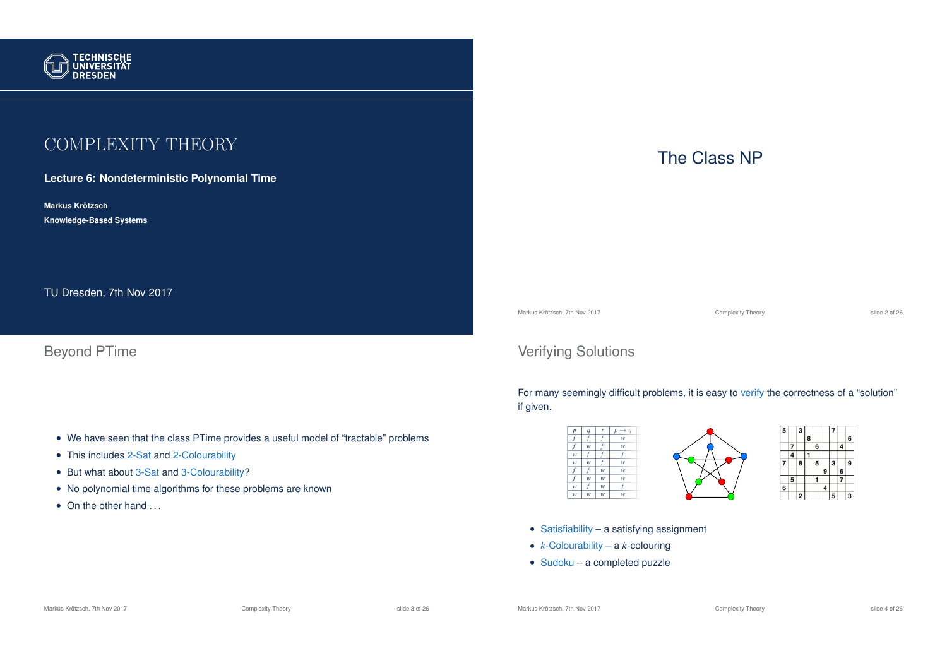

# COMPLEXITY THEORY

**Lecture 6: Nondeterministic Polynomial Time**

**Markus Krotzsch ¨ Knowledge-Based Systems**

TU Dresden, 7th Nov 2017

Beyond PTime

- We have seen that the class PTime provides a useful model of "tractable" problems
- This includes 2-Sat and 2-Colourability
- But what about 3-Sat and 3-Colourability?
- No polynomial time algorithms for these problems are known
- On the other hand ...

# The Class NP

Markus Krötzsch, 7th Nov 2017 **Complexity Theory** Complexity Theory slide 2 of 26 and 2017

 $\overline{4}$ 

 $\overline{\phantom{a}}$  6

 $|7|$ 

٦g

# Verifying Solutions

For many seemingly difficult problems, it is easy to verify the correctness of a "solution" if given.



• Satisfiability – a satisfying assignment

• *k*-Colourability – a *k*-colouring

• Sudoku – a completed puzzle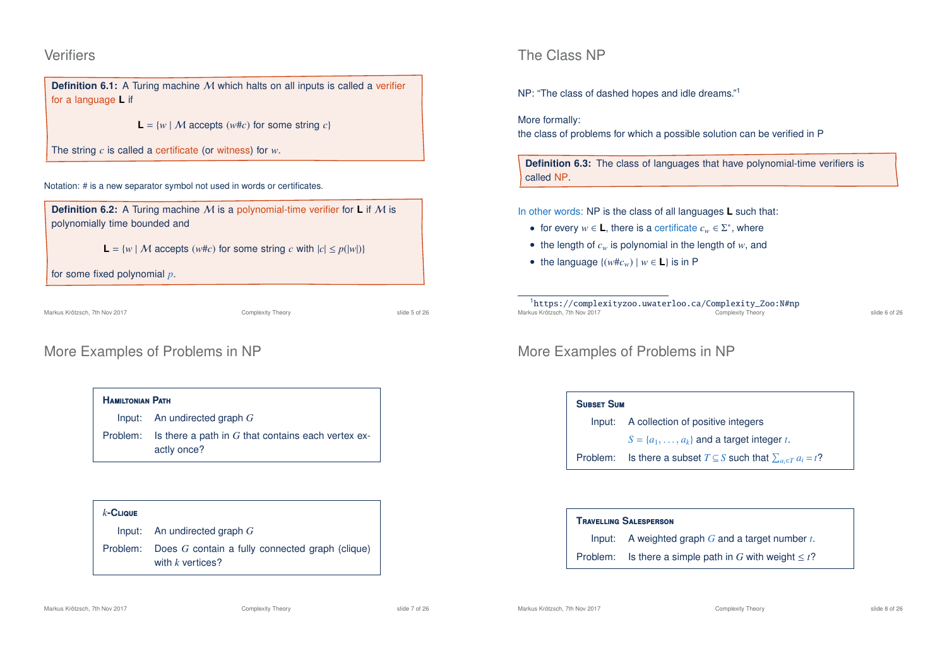#### **Verifiers**

**Definition 6.1:** A Turing machine M which halts on all inputs is called a verifier for a language **L** if

 $L = \{w \mid M \text{ accepts } (w \# c) \text{ for some string } c\}$ 

The string *c* is called a certificate (or witness) for *w*.

Notation: # is a new separator symbol not used in words or certificates.

**Definition 6.2:** A Turing machine M is a polynomial-time verifier for **L** if M is polynomially time bounded and

**L** =  $\{w \mid M \text{ accepts } (w \# c) \text{ for some string } c \text{ with } |c| \leq p(|w|) \}$ 

for some fixed polynomial *p*.

Markus Krötzsch, 7th Nov 2017 **Complexity Theory** Complexity Theory slide 5 of 26

# More Examples of Problems in NP

**H**amiltonian **P**ath Input: An undirected graph *G* Problem: Is there a path in *G* that contains each vertex exactly once?

*k***-C**lique Input: An undirected graph *G* Problem: Does *G* contain a fully connected graph (clique) with *k* vertices?

## The Class NP

NP: "The class of dashed hopes and idle dreams."<sup>1</sup>

#### More formally:

the class of problems for which a possible solution can be verified in P

**Definition 6.3:** The class of languages that have polynomial-time verifiers is called NP.

#### In other words: NP is the class of all languages **L** such that:

- for every  $w \in L$ , there is a certificate  $c_w \in \Sigma^*$ , where
- the length of  $c_w$  is polynomial in the length of  $w$ , and
- the language  $\{(w \# c_w) | w \in L\}$  is in P

<sup>1</sup>https://complexityzoo.uwaterloo.ca/Complexity\_Zoo:N#np Markus Krötzsch, 7th Nov 2017 **Complexity Theory** Complexity Theory **Complexity Theory** slide 6 of 26

## More Examples of Problems in NP

#### **S**ubset **S**um

Input: A collection of positive integers

 $S = \{a_1, \ldots, a_k\}$  and a target integer *t*.

Problem: Is there a subset  $T \subseteq S$  such that  $\sum_{a_i \in T} a_i = t$ ?

#### **T**ravelling **S**alesperson

Input: A weighted graph *G* and a target number *t*.

Problem: Is there a simple path in *G* with weight  $\leq t$ ?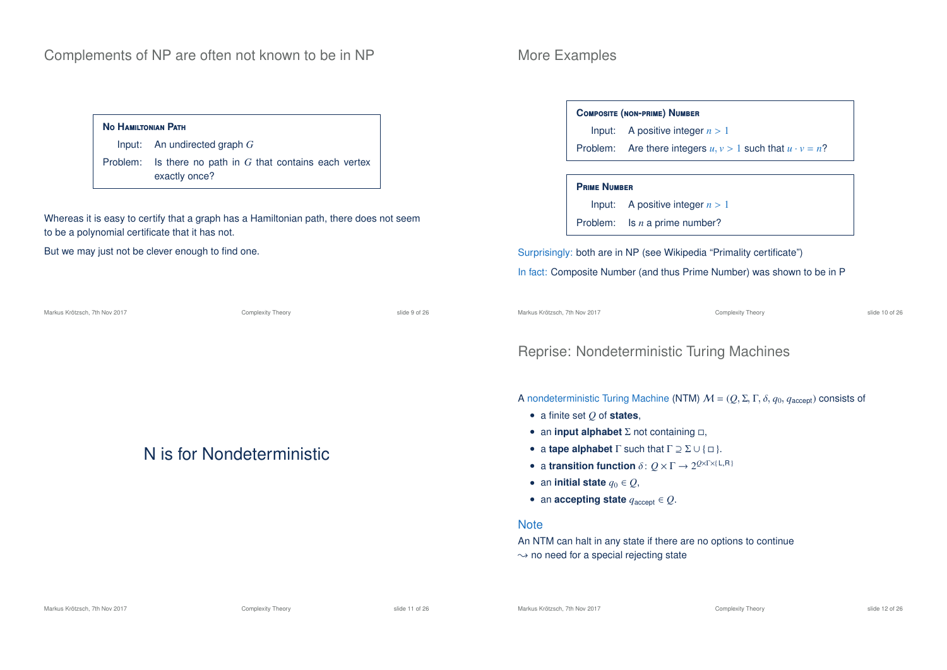#### **N**o **H**amiltonian **P**ath

Input: An undirected graph *G* Problem: Is there no path in *G* that contains each vertex exactly once?

Whereas it is easy to certify that a graph has a Hamiltonian path, there does not seem to be a polynomial certificate that it has not.

Markus Krötzsch, 7th Nov 2017 **Complexity Theory** Complexity Theory slide 9 of 26

But we may just not be clever enough to find one.

N is for Nondeterministic

## More Examples

#### **C**omposite **(**non**-**prime**) N**umber

Input: A positive integer  $n > 1$ 

Problem: Are there integers  $u, v > 1$  such that  $u \cdot v = n$ ?

#### **P**rime **N**umber

Input: A positive integer  $n > 1$ 

Problem: Is *n* a prime number?

Surprisingly: both are in NP (see Wikipedia "Primality certificate") In fact: Composite Number (and thus Prime Number) was shown to be in P

Markus Krötzsch, 7th Nov 2017 **Complexity Theory** Complexity Theory slide 10 of 26

#### Reprise: Nondeterministic Turing Machines

A nondeterministic Turing Machine (NTM)  $\mathcal{M} = (Q, \Sigma, \Gamma, \delta, q_0, q_{\text{accept}})$  consists of

- a finite set *Q* of **states**,
- an **input alphabet**  $\Sigma$  not containing  $\Box$ ,
- a **tape alphabet**  $\Gamma$  such that  $\Gamma \supseteq \Sigma \cup \{\Box\}$ .
- a **transition function**  $\delta: Q \times \Gamma \rightarrow 2^{Q \times \Gamma \times (\text{L}, \text{R})}$
- an **initial state**  $q_0 \in Q$ ,
- an **accepting state**  $q_{\text{accept}} \in Q$ .

#### **Note**

An NTM can halt in any state if there are no options to continue  $\rightarrow$  no need for a special rejecting state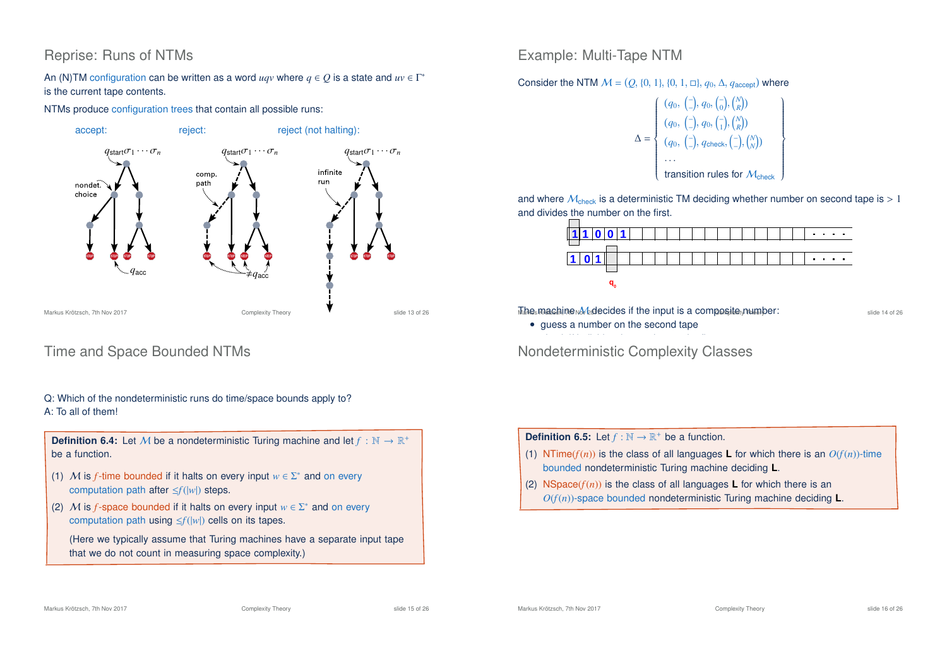# Reprise: Runs of NTMs

An (N)TM configuration can be written as a word  $uqv$  where  $q \in Q$  is a state and  $uv \in \Gamma^*$ is the current tape contents.

NTMs produce configuration trees that contain all possible runs:



# Time and Space Bounded NTMs

#### Q: Which of the nondeterministic runs do time/space bounds apply to? A: To all of them!

**Definition 6.4:** Let M be a nondeterministic Turing machine and let  $f : \mathbb{N} \to \mathbb{R}^+$ be a function.

- (1) M is *f*-time bounded if it halts on every input  $w \in \Sigma^*$  and on every computation path after ≤*f*(|*w*|) steps.
- (2) M is *f*-space bounded if it halts on every input  $w \in \Sigma^*$  and on every computation path using ≤*f*(|*w*|) cells on its tapes.

(Here we typically assume that Turing machines have a separate input tape that we do not count in measuring space complexity.)

Example: Multi-Tape NTM

Consider the NTM  $M = (Q, \{0, 1\}, \{0, 1, \Box\}, q_0, \Delta, q_{\text{accept}})$  where

$$
\Delta = \left\{ \begin{array}{l} (q_0, \ (-), q_0, \ (-), \binom{N}{k}) \\ (q_0, \ (-), q_0, \ (-), \binom{N}{k}) \\ (q_0, \ (-), q_{\text{check}}, \ (-), \binom{N}{N}) \\ \dots \\ \text{transition rules for } \mathcal{M}_{\text{check}} \end{array} \right\}
$$

and where  $M_{\text{check}}$  is a deterministic TM deciding whether number on second tape is  $> 1$ and divides the number on the first.



 $\overline{M}$ he machine M decides if the input is a composite  $y$ number: slide 14 of 26

• guess a number on the second tape

 $\mathbf{r}$  is dividend to the first tape on the first tape on the first tape on the first tape on the first tape on the first tape of  $\mathbf{r}$ Nondeterministic Complexity Classes

**Definition 6.5:** Let  $f : \mathbb{N} \to \mathbb{R}^+$  be a function.

- (1) NTime( $f(n)$ ) is the class of all languages **L** for which there is an  $O(f(n))$ -time bounded nondeterministic Turing machine deciding **L**.
- (2) NSpace( $f(n)$ ) is the class of all languages **L** for which there is an *O*(*f*(*n*))-space bounded nondeterministic Turing machine deciding **L**.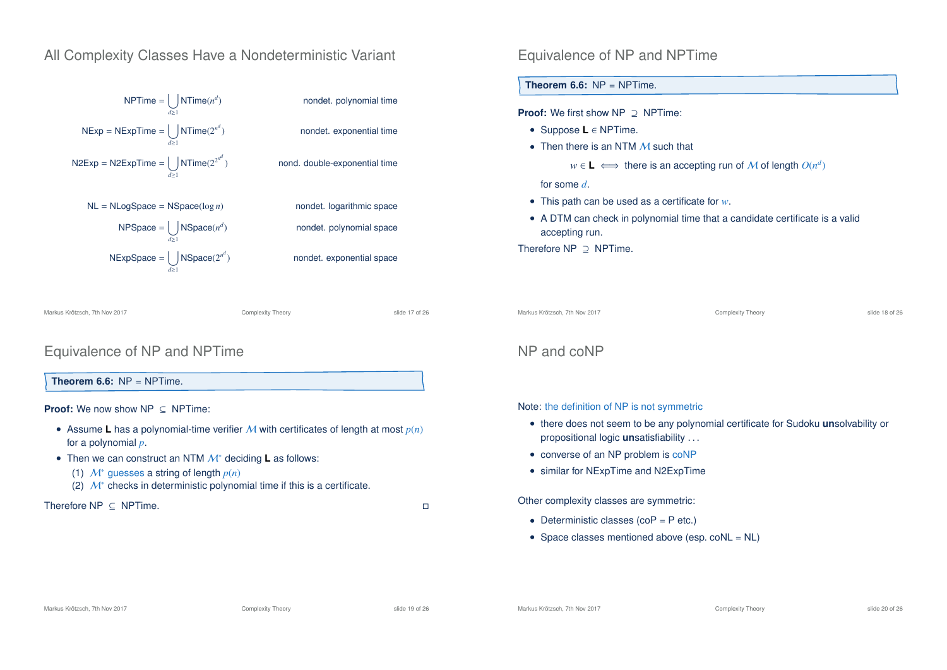## All Complexity Classes Have a Nondeterministic Variant



Markus Krötzsch, 7th Nov 2017 Complexity Theory slide 17 of 26

## Equivalence of NP and NPTime

**Theorem 6.6:**  $NP = NPTime$ .

#### **Proof:** We now show NP ⊂ NPTime:

- Assume **L** has a polynomial-time verifier M with certificates of length at most  $p(n)$ for a polynomial *p*.
- Then we can construct an NTM M<sup>∗</sup> deciding **L** as follows:
	- (1) M<sup>∗</sup> guesses a string of length *p*(*n*)
	- (2)  $\mathcal{M}^*$  checks in deterministic polynomial time if this is a certificate.

Therefore NP ⊂ NPTime.  $\Box$ 

#### Equivalence of NP and NPTime

**Theorem 6.6:** NP = NPTime.

**Proof:** We first show NP ⊇ NPTime:

- Suppose **L** ∈ NPTime.
- Then there is an NTM M such that
	- $w \in L \iff$  there is an accepting run of M of length  $O(n^d)$

for some *d*.

- This path can be used as a certificate for *w*.
- A DTM can check in polynomial time that a candidate certificate is a valid accepting run.

Therefore NP ⊇ NPTime.

Markus Krötzsch, 7th Nov 2017 Complexity Theory slide 18 of 26

## NP and coNP

Note: the definition of NP is not symmetric

- there does not seem to be any polynomial certificate for Sudoku **un**solvability or propositional logic **un**satisfiability . . .
- converse of an NP problem is coNP
- similar for NExpTime and N2ExpTime

Other complexity classes are symmetric:

- Deterministic classes  $(cop = Pe$  etc.)
- Space classes mentioned above (esp. coNL = NL)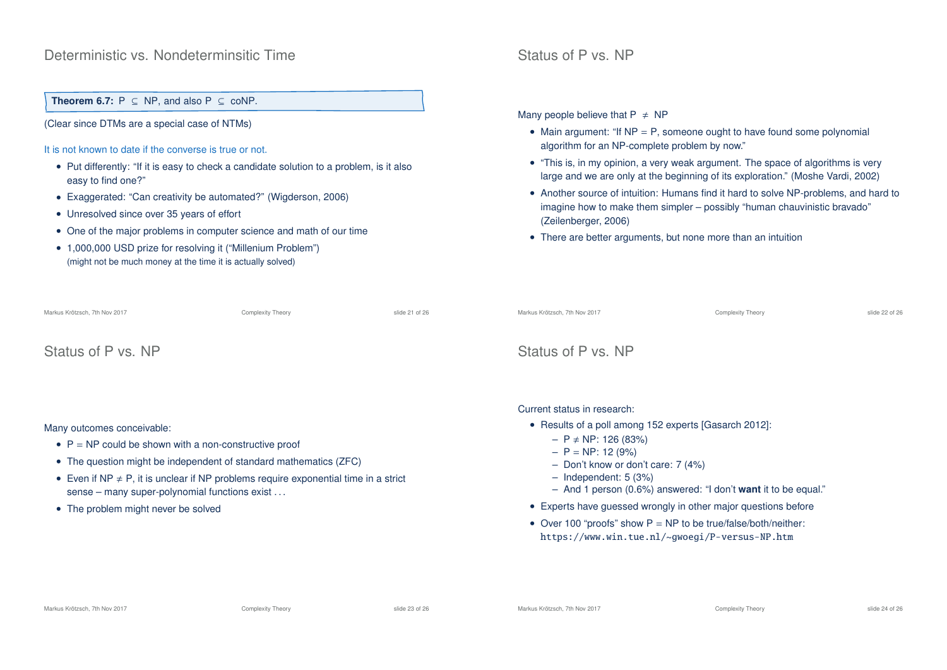#### Deterministic vs. Nondeterminsitic Time

**Theorem 6.7:**  $P \subseteq NP$ , and also  $P \subseteq \text{coNP}$ .

(Clear since DTMs are a special case of NTMs)

It is not known to date if the converse is true or not.

- Put differently: "If it is easy to check a candidate solution to a problem, is it also easy to find one?"
- Exaggerated: "Can creativity be automated?" (Wigderson, 2006)
- Unresolved since over 35 years of effort
- One of the major problems in computer science and math of our time
- 1,000,000 USD prize for resolving it ("Millenium Problem") (might not be much money at the time it is actually solved)

#### Status of P vs. NP

Many people believe that  $P \neq NP$ 

- Main argument: "If  $NP = P$ , someone ought to have found some polynomial algorithm for an NP-complete problem by now."
- "This is, in my opinion, a very weak argument. The space of algorithms is very large and we are only at the beginning of its exploration." (Moshe Vardi, 2002)
- Another source of intuition: Humans find it hard to solve NP-problems, and hard to imagine how to make them simpler – possibly "human chauvinistic bravado" (Zeilenberger, 2006)
- There are better arguments, but none more than an intuition

| Markus Krötzsch, 7th Nov 2017                                                                                                                                                                                                                                                                                                                  | Complexity Theory | slide 21 of 26 | Markus Krötzsch, 7th Nov 2017                                                                                                                                                                                                                                                                                                                                                                                                                                                  | Complexity Theory | slide 22 of 26 |  |
|------------------------------------------------------------------------------------------------------------------------------------------------------------------------------------------------------------------------------------------------------------------------------------------------------------------------------------------------|-------------------|----------------|--------------------------------------------------------------------------------------------------------------------------------------------------------------------------------------------------------------------------------------------------------------------------------------------------------------------------------------------------------------------------------------------------------------------------------------------------------------------------------|-------------------|----------------|--|
| Status of P vs. NP                                                                                                                                                                                                                                                                                                                             |                   |                | Status of P vs. NP                                                                                                                                                                                                                                                                                                                                                                                                                                                             |                   |                |  |
| Many outcomes conceivable:<br>• $P = NP$ could be shown with a non-constructive proof<br>• The question might be independent of standard mathematics (ZFC)<br>• Even if NP $\neq$ P, it is unclear if NP problems require exponential time in a strict<br>sense – many super-polynomial functions exist<br>• The problem might never be solved |                   |                | Current status in research:<br>• Results of a poll among 152 experts [Gasarch 2012]:<br>$- P \ne NP$ : 126 (83%)<br>$- P = NP$ : 12 (9%)<br>- Don't know or don't care: $7(4%)$<br>$-$ Independent: 5 (3%)<br>- And 1 person $(0.6\%)$ answered: "I don't <b>want</b> it to be equal."<br>• Experts have guessed wrongly in other major questions before<br>• Over 100 "proofs" show $P = NP$ to be true/false/both/neither:<br>https://www.win.tue.nl/~gwoegi/P-versus-NP.htm |                   |                |  |